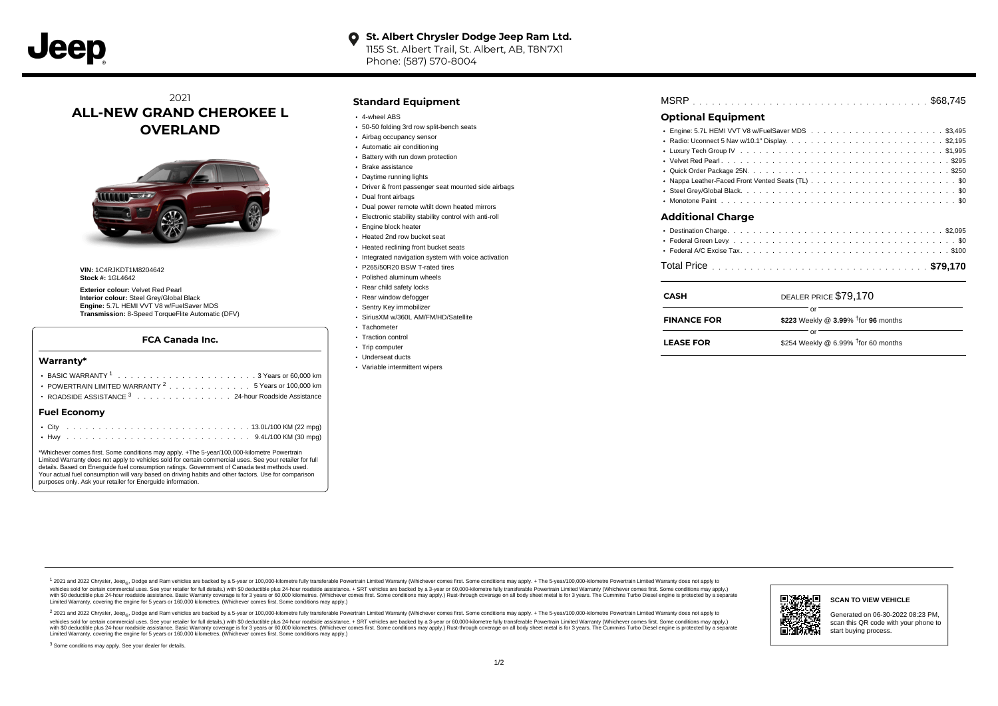## **O** St. Albert Chrysler Dodge Jeep Ram Ltd. 1155 St. Albert Trail, St. Albert, AB, T8N7X1

Phone: (587) 570-8004

# 2021 **ALL-NEW GRAND CHEROKEE L OVERLAND**



**VIN:** 1C4RJKDT1M8204642 **Stock #:** 1GL4642

**Exterior colour:** Velvet Red Pearl **Interior colour:** Steel Grey/Global Black **Engine:** 5.7L HEMI VVT V8 w/FuelSaver MDS **Transmission:** 8-Speed TorqueFlite Automatic (DFV)

#### **FCA Canada Inc.**

| Warranty*                                                                                                                                                                                                                                                                                                                                                                                                                                                                       |
|---------------------------------------------------------------------------------------------------------------------------------------------------------------------------------------------------------------------------------------------------------------------------------------------------------------------------------------------------------------------------------------------------------------------------------------------------------------------------------|
| POWERTRAIN LIMITED WARRANTY <sup>2</sup> 5 Years or 100,000 km<br>ROADSIDE ASSISTANCE 3 24-hour Roadside Assistance                                                                                                                                                                                                                                                                                                                                                             |
| <b>Fuel Economy</b>                                                                                                                                                                                                                                                                                                                                                                                                                                                             |
|                                                                                                                                                                                                                                                                                                                                                                                                                                                                                 |
| *Whichever comes first. Some conditions may apply. +The 5-year/100,000-kilometre Powertrain<br>Limited Warranty does not apply to vehicles sold for certain commercial uses. See your retailer for full<br>details. Based on Energuide fuel consumption ratings. Government of Canada test methods used.<br>Your actual fuel consumption will vary based on driving habits and other factors. Use for comparison<br>purposes only. Ask your retailer for Energuide information. |

### **Standard Equipment**

- 4-wheel ABS
- 50-50 folding 3rd row split-bench seats
- Airbag occupancy sensor
- Automatic air conditioning
- Battery with run down protection
- Brake assistance
- Daytime running lights
- Driver & front passenger seat mounted side airbags
- **Dual front airbags**
- Dual power remote w/tilt down heated mirrors
- Electronic stability stability control with anti-roll
- **Engine block heater**
- Heated 2nd row bucket seat
- Heated reclining front bucket seats
- Integrated navigation system with voice activation
- P265/50R20 BSW T-rated tires
- Polished aluminum wheels
- Rear child safety locks
- Rear window defogger
- Sentry Key immobilizer
- SiriusXM w/360L AM/FM/HD/Satellite
- Tachometer
- Traction control
- Trip computer
- Underseat ducts
- Variable intermittent wipers

# . . . . . . . . . . . . . . . . . . . . . . . . . . . . . . . . . . . . . . . . . . . . . . MSRP \$68,745 **Optional Equipment**

| $\sim$ ptional Equipment |  |
|--------------------------|--|
|                          |  |
|                          |  |
|                          |  |
|                          |  |
|                          |  |
|                          |  |
|                          |  |
|                          |  |
| Additional Charge        |  |
|                          |  |
|                          |  |
|                          |  |
|                          |  |

. . . . . . . . . . . . . . . . . . . . . . . . . . . . . . . . . . . . . . . . . . . . . . Total Price **\$79,170**

| <b>CASH</b>        | DEALER PRICE \$79.170                              |
|--------------------|----------------------------------------------------|
| <b>FINANCE FOR</b> | \$223 Weekly @ $3.99\%$ <sup>†</sup> for 96 months |
| <b>LEASE FOR</b>   | \$254 Weekly @ 6.99% $†$ for 60 months             |

1 2021 and 2022 Chrysler, Jeep<sub>en</sub> Dodge and Ram vehicles are backed by a 5-year or 100,000-kilometre fully transferable Powertrain Limited Warranty (Whichever comes first. Some conditions may apply. + The 5-year/100,000-k rebicles sold for certain commercial uses. See your retailer for full details) with S0 deductible plus 24-hour madside assistance. + SRT vehicles are backed by a 3-year or 60.000-kilometre fully transferable Powertrain Lim versus and contract the mean of the contract of the contract with a contract with a contract the contract of the search of the contract and a control of the contract and contract and control of the search of the search of Limited Warranty, covering the engine for 5 years or 160,000 kilometres. (Whichever comes first. Some conditions may apply.)

<sup>2</sup> 2021 and 2022 Chrysler, Jeep<sub>®</sub>, Dodge and Ram vehicles are backed by a 5-year or 100,000-kilometre fully transferable Powertrain Limited Warranty (Whichever comes first. Some conditions may apply. + The 5-year/100,000 vehicles sold for certain commercial uses. See your retailer for full details.) with SO deductible plus 24-hour roadside assistance. + SRT vehicles are backed by a 3-year or 60.000-kilometre fully transferable Powertrain L with S0 deductible plus 24-hour roadside assistance. Basic Warranty coverage is for 3 years or 60,000 kilometres. (Whichever comes first. Some conditions may apply.) Rust-through coverage on all body sheet metal is for 3 y



#### **SCAN TO VIEW VEHICLE**

Generated on 06-30-2022 08:23 PM, scan this QR code with your phone to start buying process.

<sup>3</sup> Some conditions may apply. See your dealer for details.